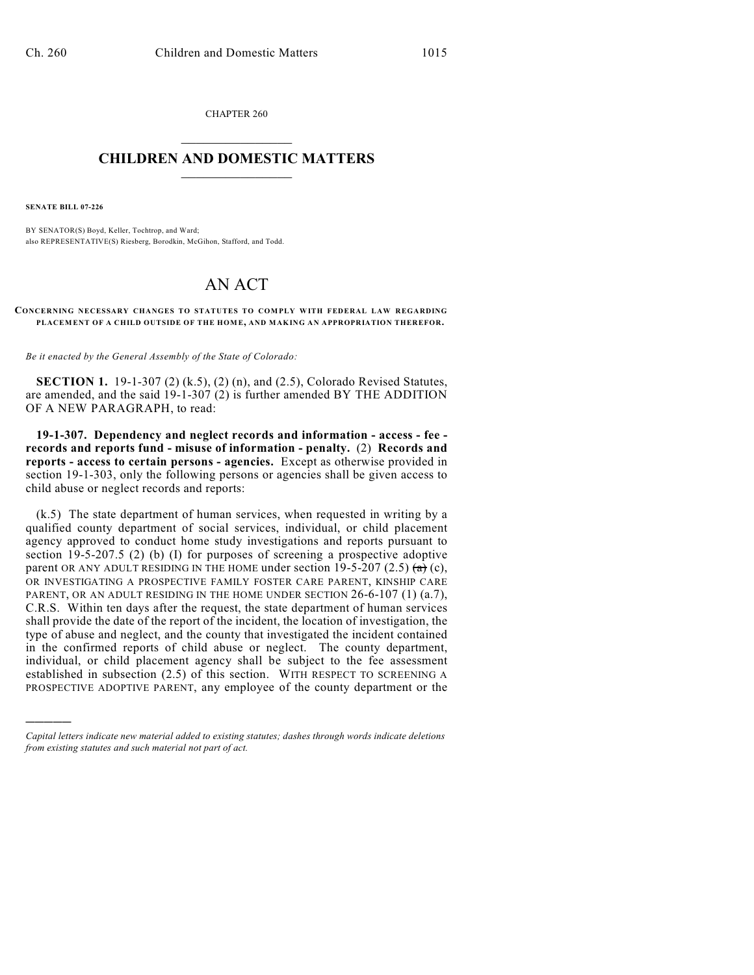CHAPTER 260  $\overline{\phantom{a}}$  . The set of the set of the set of the set of the set of the set of the set of the set of the set of the set of the set of the set of the set of the set of the set of the set of the set of the set of the set o

## **CHILDREN AND DOMESTIC MATTERS**  $\_$

**SENATE BILL 07-226**

)))))

BY SENATOR(S) Boyd, Keller, Tochtrop, and Ward; also REPRESENTATIVE(S) Riesberg, Borodkin, McGihon, Stafford, and Todd.

## AN ACT

**CONCERNING NECESSARY CHANGES TO STATUTES TO COMPLY WITH FEDERAL LAW REGARDING PLACEM ENT OF A CHILD OUTSIDE OF THE HOM E, AND MAKING AN APPROPRIATION THEREFOR.**

*Be it enacted by the General Assembly of the State of Colorado:*

**SECTION 1.** 19-1-307 (2) (k.5), (2) (n), and (2.5), Colorado Revised Statutes, are amended, and the said 19-1-307 (2) is further amended BY THE ADDITION OF A NEW PARAGRAPH, to read:

**19-1-307. Dependency and neglect records and information - access - fee records and reports fund - misuse of information - penalty.** (2) **Records and reports - access to certain persons - agencies.** Except as otherwise provided in section 19-1-303, only the following persons or agencies shall be given access to child abuse or neglect records and reports:

(k.5) The state department of human services, when requested in writing by a qualified county department of social services, individual, or child placement agency approved to conduct home study investigations and reports pursuant to section 19-5-207.5 (2) (b) (I) for purposes of screening a prospective adoptive parent OR ANY ADULT RESIDING IN THE HOME under section 19-5-207 (2.5)  $(a)$ , OR INVESTIGATING A PROSPECTIVE FAMILY FOSTER CARE PARENT, KINSHIP CARE PARENT, OR AN ADULT RESIDING IN THE HOME UNDER SECTION 26-6-107 (1) (a.7), C.R.S. Within ten days after the request, the state department of human services shall provide the date of the report of the incident, the location of investigation, the type of abuse and neglect, and the county that investigated the incident contained in the confirmed reports of child abuse or neglect. The county department, individual, or child placement agency shall be subject to the fee assessment established in subsection (2.5) of this section. WITH RESPECT TO SCREENING A PROSPECTIVE ADOPTIVE PARENT, any employee of the county department or the

*Capital letters indicate new material added to existing statutes; dashes through words indicate deletions from existing statutes and such material not part of act.*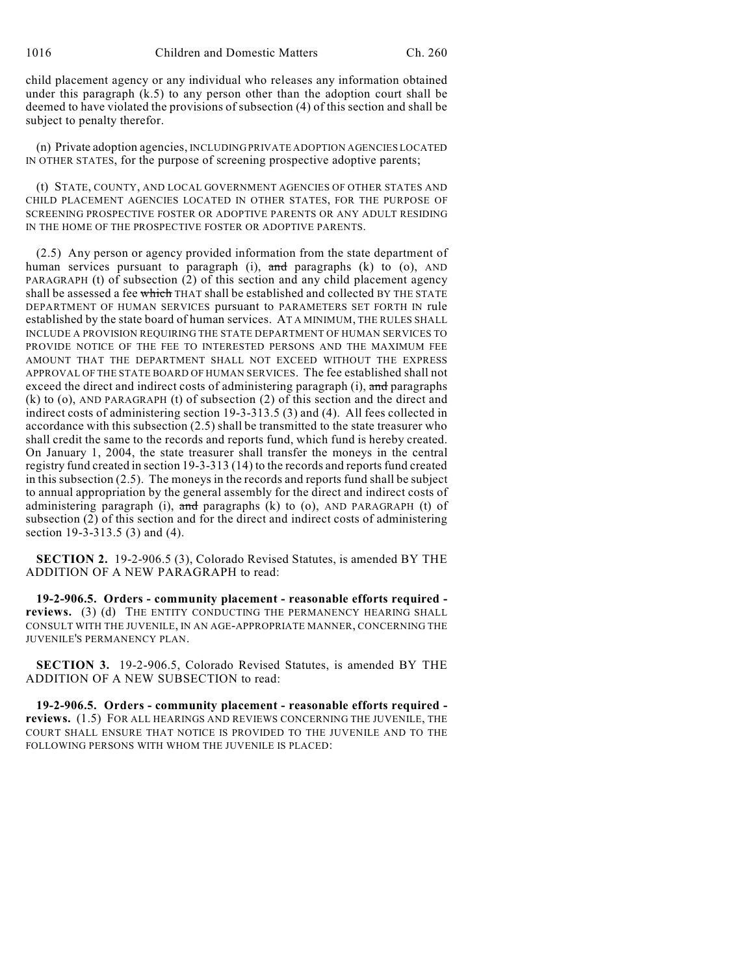child placement agency or any individual who releases any information obtained under this paragraph  $(k.5)$  to any person other than the adoption court shall be deemed to have violated the provisions of subsection (4) of this section and shall be subject to penalty therefor.

(n) Private adoption agencies, INCLUDING PRIVATE ADOPTION AGENCIES LOCATED IN OTHER STATES, for the purpose of screening prospective adoptive parents;

(t) STATE, COUNTY, AND LOCAL GOVERNMENT AGENCIES OF OTHER STATES AND CHILD PLACEMENT AGENCIES LOCATED IN OTHER STATES, FOR THE PURPOSE OF SCREENING PROSPECTIVE FOSTER OR ADOPTIVE PARENTS OR ANY ADULT RESIDING IN THE HOME OF THE PROSPECTIVE FOSTER OR ADOPTIVE PARENTS.

(2.5) Any person or agency provided information from the state department of human services pursuant to paragraph (i),  $\overline{\text{and}}$  paragraphs (k) to (o), AND PARAGRAPH (t) of subsection (2) of this section and any child placement agency shall be assessed a fee which THAT shall be established and collected BY THE STATE DEPARTMENT OF HUMAN SERVICES pursuant to PARAMETERS SET FORTH IN rule established by the state board of human services. AT A MINIMUM, THE RULES SHALL INCLUDE A PROVISION REQUIRING THE STATE DEPARTMENT OF HUMAN SERVICES TO PROVIDE NOTICE OF THE FEE TO INTERESTED PERSONS AND THE MAXIMUM FEE AMOUNT THAT THE DEPARTMENT SHALL NOT EXCEED WITHOUT THE EXPRESS APPROVAL OF THE STATE BOARD OF HUMAN SERVICES. The fee established shall not exceed the direct and indirect costs of administering paragraph (i), and paragraphs (k) to (o), AND PARAGRAPH (t) of subsection (2) of this section and the direct and indirect costs of administering section 19-3-313.5 (3) and (4). All fees collected in accordance with this subsection (2.5) shall be transmitted to the state treasurer who shall credit the same to the records and reports fund, which fund is hereby created. On January 1, 2004, the state treasurer shall transfer the moneys in the central registry fund created in section 19-3-313 (14) to the records and reports fund created in this subsection (2.5). The moneys in the records and reports fund shall be subject to annual appropriation by the general assembly for the direct and indirect costs of administering paragraph (i),  $\pi$ nd paragraphs (k) to (o), AND PARAGRAPH (t) of subsection (2) of this section and for the direct and indirect costs of administering section 19-3-313.5 (3) and (4).

**SECTION 2.** 19-2-906.5 (3), Colorado Revised Statutes, is amended BY THE ADDITION OF A NEW PARAGRAPH to read:

**19-2-906.5. Orders - community placement - reasonable efforts required reviews.** (3) (d) THE ENTITY CONDUCTING THE PERMANENCY HEARING SHALL CONSULT WITH THE JUVENILE, IN AN AGE-APPROPRIATE MANNER, CONCERNING THE JUVENILE'S PERMANENCY PLAN.

**SECTION 3.** 19-2-906.5, Colorado Revised Statutes, is amended BY THE ADDITION OF A NEW SUBSECTION to read:

**19-2-906.5. Orders - community placement - reasonable efforts required reviews.** (1.5) FOR ALL HEARINGS AND REVIEWS CONCERNING THE JUVENILE, THE COURT SHALL ENSURE THAT NOTICE IS PROVIDED TO THE JUVENILE AND TO THE FOLLOWING PERSONS WITH WHOM THE JUVENILE IS PLACED: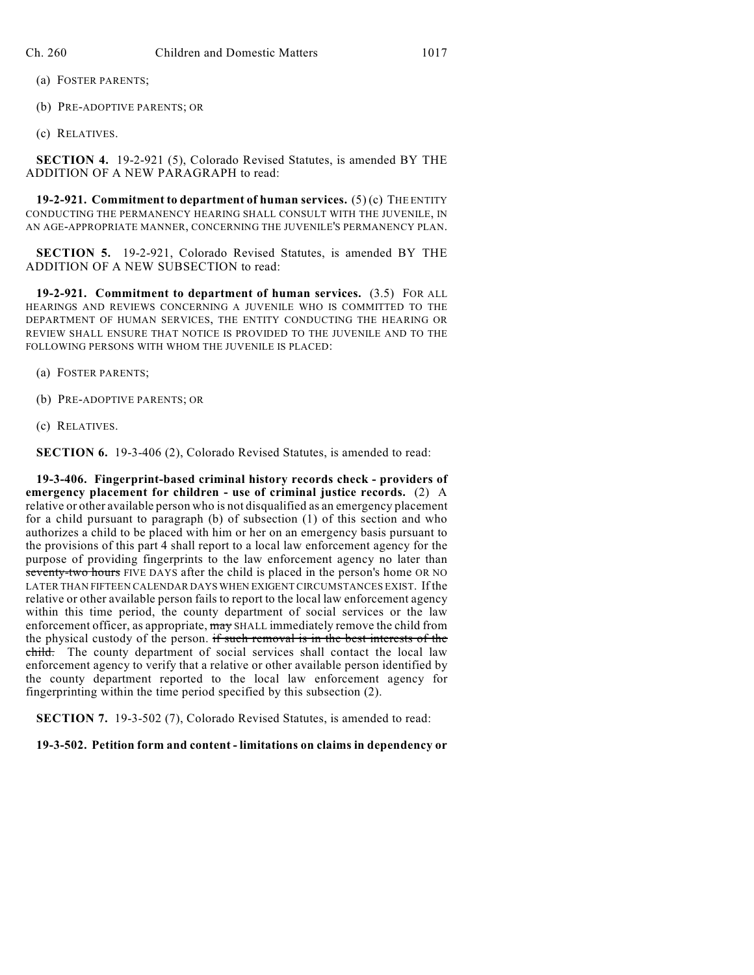(a) FOSTER PARENTS;

(b) PRE-ADOPTIVE PARENTS; OR

(c) RELATIVES.

**SECTION 4.** 19-2-921 (5), Colorado Revised Statutes, is amended BY THE ADDITION OF A NEW PARAGRAPH to read:

**19-2-921. Commitment to department of human services.** (5) (c) THE ENTITY CONDUCTING THE PERMANENCY HEARING SHALL CONSULT WITH THE JUVENILE, IN AN AGE-APPROPRIATE MANNER, CONCERNING THE JUVENILE'S PERMANENCY PLAN.

**SECTION 5.** 19-2-921, Colorado Revised Statutes, is amended BY THE ADDITION OF A NEW SUBSECTION to read:

**19-2-921. Commitment to department of human services.** (3.5) FOR ALL HEARINGS AND REVIEWS CONCERNING A JUVENILE WHO IS COMMITTED TO THE DEPARTMENT OF HUMAN SERVICES, THE ENTITY CONDUCTING THE HEARING OR REVIEW SHALL ENSURE THAT NOTICE IS PROVIDED TO THE JUVENILE AND TO THE FOLLOWING PERSONS WITH WHOM THE JUVENILE IS PLACED:

(a) FOSTER PARENTS;

- (b) PRE-ADOPTIVE PARENTS; OR
- (c) RELATIVES.

**SECTION 6.** 19-3-406 (2), Colorado Revised Statutes, is amended to read:

**19-3-406. Fingerprint-based criminal history records check - providers of emergency placement for children - use of criminal justice records.** (2) A relative or other available person who is not disqualified as an emergency placement for a child pursuant to paragraph (b) of subsection (1) of this section and who authorizes a child to be placed with him or her on an emergency basis pursuant to the provisions of this part 4 shall report to a local law enforcement agency for the purpose of providing fingerprints to the law enforcement agency no later than seventy-two hours FIVE DAYS after the child is placed in the person's home OR NO LATER THAN FIFTEEN CALENDAR DAYS WHEN EXIGENT CIRCUMSTANCES EXIST. If the relative or other available person fails to report to the local law enforcement agency within this time period, the county department of social services or the law enforcement officer, as appropriate,  $\frac{m}{y}$  SHALL immediately remove the child from the physical custody of the person. if such removal is in the best interests of the **child.** The county department of social services shall contact the local law enforcement agency to verify that a relative or other available person identified by the county department reported to the local law enforcement agency for fingerprinting within the time period specified by this subsection (2).

**SECTION 7.** 19-3-502 (7), Colorado Revised Statutes, is amended to read:

**19-3-502. Petition form and content - limitations on claims in dependency or**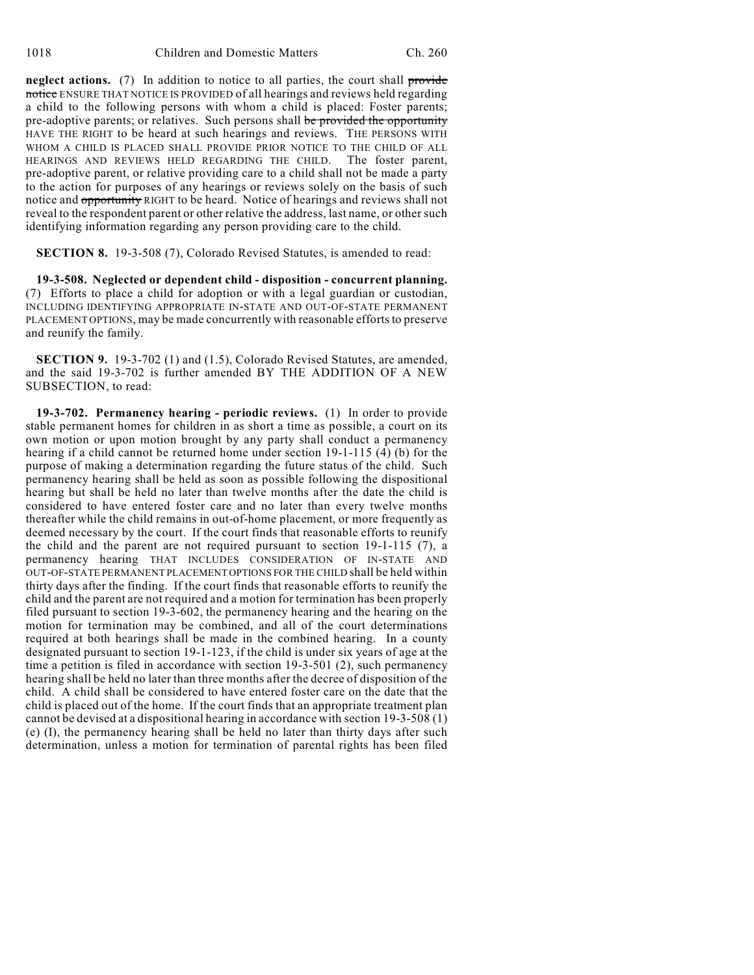**neglect actions.** (7) In addition to notice to all parties, the court shall provide notice ENSURE THAT NOTICE IS PROVIDED of all hearings and reviews held regarding a child to the following persons with whom a child is placed: Foster parents; pre-adoptive parents; or relatives. Such persons shall be provided the opportunity HAVE THE RIGHT to be heard at such hearings and reviews. THE PERSONS WITH WHOM A CHILD IS PLACED SHALL PROVIDE PRIOR NOTICE TO THE CHILD OF ALL HEARINGS AND REVIEWS HELD REGARDING THE CHILD. The foster parent, pre-adoptive parent, or relative providing care to a child shall not be made a party to the action for purposes of any hearings or reviews solely on the basis of such notice and opportunity RIGHT to be heard. Notice of hearings and reviews shall not reveal to the respondent parent or other relative the address, last name, or other such identifying information regarding any person providing care to the child.

**SECTION 8.** 19-3-508 (7), Colorado Revised Statutes, is amended to read:

**19-3-508. Neglected or dependent child - disposition - concurrent planning.** (7) Efforts to place a child for adoption or with a legal guardian or custodian, INCLUDING IDENTIFYING APPROPRIATE IN-STATE AND OUT-OF-STATE PERMANENT PLACEMENT OPTIONS, may be made concurrently with reasonable efforts to preserve and reunify the family.

**SECTION 9.** 19-3-702 (1) and (1.5), Colorado Revised Statutes, are amended, and the said 19-3-702 is further amended BY THE ADDITION OF A NEW SUBSECTION, to read:

**19-3-702. Permanency hearing - periodic reviews.** (1) In order to provide stable permanent homes for children in as short a time as possible, a court on its own motion or upon motion brought by any party shall conduct a permanency hearing if a child cannot be returned home under section 19-1-115 (4) (b) for the purpose of making a determination regarding the future status of the child. Such permanency hearing shall be held as soon as possible following the dispositional hearing but shall be held no later than twelve months after the date the child is considered to have entered foster care and no later than every twelve months thereafter while the child remains in out-of-home placement, or more frequently as deemed necessary by the court. If the court finds that reasonable efforts to reunify the child and the parent are not required pursuant to section 19-1-115 (7), a permanency hearing THAT INCLUDES CONSIDERATION OF IN-STATE AND OUT-OF-STATE PERMANENT PLACEMENT OPTIONS FOR THE CHILD shall be held within thirty days after the finding. If the court finds that reasonable efforts to reunify the child and the parent are not required and a motion for termination has been properly filed pursuant to section 19-3-602, the permanency hearing and the hearing on the motion for termination may be combined, and all of the court determinations required at both hearings shall be made in the combined hearing. In a county designated pursuant to section 19-1-123, if the child is under six years of age at the time a petition is filed in accordance with section 19-3-501 (2), such permanency hearing shall be held no later than three months after the decree of disposition of the child. A child shall be considered to have entered foster care on the date that the child is placed out of the home. If the court finds that an appropriate treatment plan cannot be devised at a dispositional hearing in accordance with section 19-3-508 (1) (e) (I), the permanency hearing shall be held no later than thirty days after such determination, unless a motion for termination of parental rights has been filed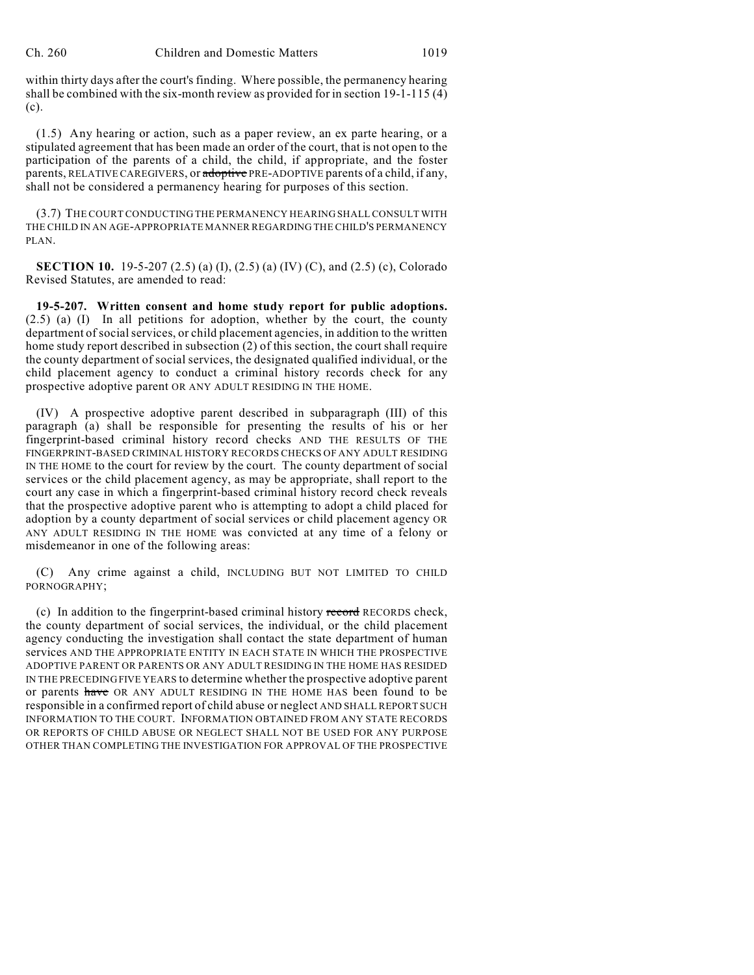within thirty days after the court's finding. Where possible, the permanency hearing shall be combined with the six-month review as provided for in section 19-1-115 (4) (c).

(1.5) Any hearing or action, such as a paper review, an ex parte hearing, or a stipulated agreement that has been made an order of the court, that is not open to the participation of the parents of a child, the child, if appropriate, and the foster parents, RELATIVE CAREGIVERS, or adoptive PRE-ADOPTIVE parents of a child, if any, shall not be considered a permanency hearing for purposes of this section.

(3.7) THE COURT CONDUCTING THE PERMANENCY HEARING SHALL CONSULT WITH THE CHILD IN AN AGE-APPROPRIATE MANNER REGARDING THE CHILD'S PERMANENCY PLAN.

**SECTION 10.** 19-5-207 (2.5) (a) (I), (2.5) (a) (IV) (C), and (2.5) (c), Colorado Revised Statutes, are amended to read:

**19-5-207. Written consent and home study report for public adoptions.** (2.5) (a) (I) In all petitions for adoption, whether by the court, the county department of social services, or child placement agencies, in addition to the written home study report described in subsection (2) of this section, the court shall require the county department of social services, the designated qualified individual, or the child placement agency to conduct a criminal history records check for any prospective adoptive parent OR ANY ADULT RESIDING IN THE HOME.

(IV) A prospective adoptive parent described in subparagraph (III) of this paragraph (a) shall be responsible for presenting the results of his or her fingerprint-based criminal history record checks AND THE RESULTS OF THE FINGERPRINT-BASED CRIMINAL HISTORY RECORDS CHECKS OF ANY ADULT RESIDING IN THE HOME to the court for review by the court. The county department of social services or the child placement agency, as may be appropriate, shall report to the court any case in which a fingerprint-based criminal history record check reveals that the prospective adoptive parent who is attempting to adopt a child placed for adoption by a county department of social services or child placement agency OR ANY ADULT RESIDING IN THE HOME was convicted at any time of a felony or misdemeanor in one of the following areas:

(C) Any crime against a child, INCLUDING BUT NOT LIMITED TO CHILD PORNOGRAPHY;

(c) In addition to the fingerprint-based criminal history record RECORDS check, the county department of social services, the individual, or the child placement agency conducting the investigation shall contact the state department of human services AND THE APPROPRIATE ENTITY IN EACH STATE IN WHICH THE PROSPECTIVE ADOPTIVE PARENT OR PARENTS OR ANY ADULT RESIDING IN THE HOME HAS RESIDED IN THE PRECEDING FIVE YEARS to determine whether the prospective adoptive parent or parents have OR ANY ADULT RESIDING IN THE HOME HAS been found to be responsible in a confirmed report of child abuse or neglect AND SHALL REPORT SUCH INFORMATION TO THE COURT. INFORMATION OBTAINED FROM ANY STATE RECORDS OR REPORTS OF CHILD ABUSE OR NEGLECT SHALL NOT BE USED FOR ANY PURPOSE OTHER THAN COMPLETING THE INVESTIGATION FOR APPROVAL OF THE PROSPECTIVE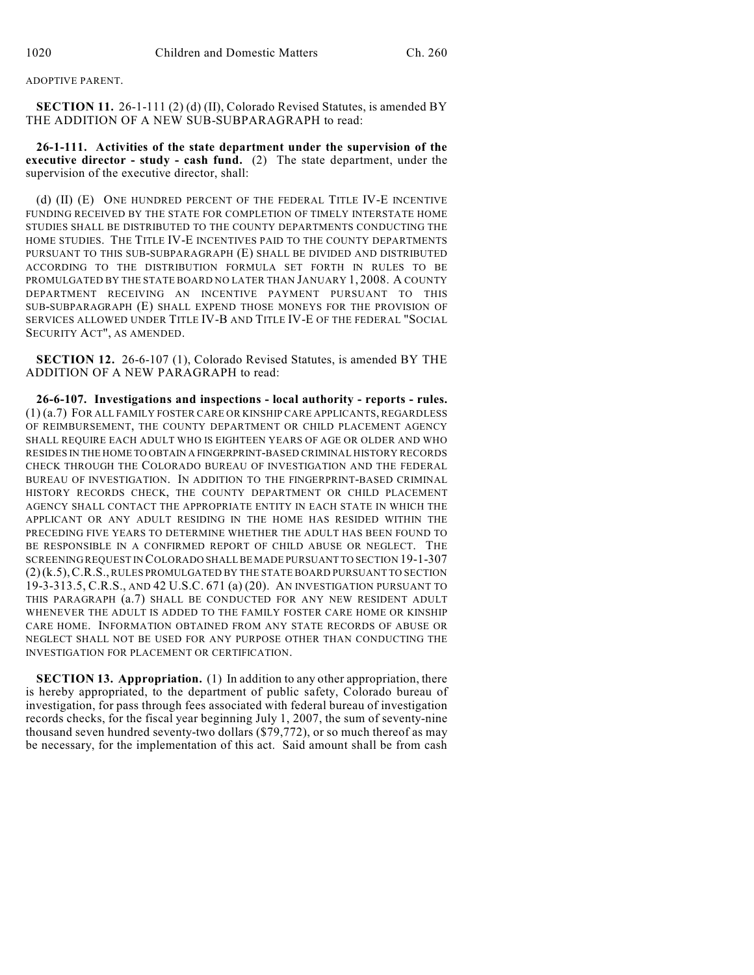## ADOPTIVE PARENT.

**SECTION 11.** 26-1-111 (2) (d) (II), Colorado Revised Statutes, is amended BY THE ADDITION OF A NEW SUB-SUBPARAGRAPH to read:

**26-1-111. Activities of the state department under the supervision of the executive director - study - cash fund.** (2) The state department, under the supervision of the executive director, shall:

(d) (II) (E) ONE HUNDRED PERCENT OF THE FEDERAL TITLE IV-E INCENTIVE FUNDING RECEIVED BY THE STATE FOR COMPLETION OF TIMELY INTERSTATE HOME STUDIES SHALL BE DISTRIBUTED TO THE COUNTY DEPARTMENTS CONDUCTING THE HOME STUDIES. THE TITLE IV-E INCENTIVES PAID TO THE COUNTY DEPARTMENTS PURSUANT TO THIS SUB-SUBPARAGRAPH (E) SHALL BE DIVIDED AND DISTRIBUTED ACCORDING TO THE DISTRIBUTION FORMULA SET FORTH IN RULES TO BE PROMULGATED BY THE STATE BOARD NO LATER THAN JANUARY 1, 2008. A COUNTY DEPARTMENT RECEIVING AN INCENTIVE PAYMENT PURSUANT TO THIS SUB-SUBPARAGRAPH (E) SHALL EXPEND THOSE MONEYS FOR THE PROVISION OF SERVICES ALLOWED UNDER TITLE IV-B AND TITLE IV-E OF THE FEDERAL "SOCIAL SECURITY ACT", AS AMENDED.

**SECTION 12.** 26-6-107 (1), Colorado Revised Statutes, is amended BY THE ADDITION OF A NEW PARAGRAPH to read:

**26-6-107. Investigations and inspections - local authority - reports - rules.** (1) (a.7) FOR ALL FAMILY FOSTER CARE OR KINSHIP CARE APPLICANTS, REGARDLESS OF REIMBURSEMENT, THE COUNTY DEPARTMENT OR CHILD PLACEMENT AGENCY SHALL REQUIRE EACH ADULT WHO IS EIGHTEEN YEARS OF AGE OR OLDER AND WHO RESIDES IN THE HOME TO OBTAIN A FINGERPRINT-BASED CRIMINAL HISTORY RECORDS CHECK THROUGH THE COLORADO BUREAU OF INVESTIGATION AND THE FEDERAL BUREAU OF INVESTIGATION. IN ADDITION TO THE FINGERPRINT-BASED CRIMINAL HISTORY RECORDS CHECK, THE COUNTY DEPARTMENT OR CHILD PLACEMENT AGENCY SHALL CONTACT THE APPROPRIATE ENTITY IN EACH STATE IN WHICH THE APPLICANT OR ANY ADULT RESIDING IN THE HOME HAS RESIDED WITHIN THE PRECEDING FIVE YEARS TO DETERMINE WHETHER THE ADULT HAS BEEN FOUND TO BE RESPONSIBLE IN A CONFIRMED REPORT OF CHILD ABUSE OR NEGLECT. THE SCREENING REQUEST IN COLORADO SHALL BE MADE PURSUANT TO SECTION 19-1-307 (2)(k.5),C.R.S., RULES PROMULGATED BY THE STATE BOARD PURSUANT TO SECTION 19-3-313.5, C.R.S., AND 42 U.S.C. 671 (a) (20). AN INVESTIGATION PURSUANT TO THIS PARAGRAPH (a.7) SHALL BE CONDUCTED FOR ANY NEW RESIDENT ADULT WHENEVER THE ADULT IS ADDED TO THE FAMILY FOSTER CARE HOME OR KINSHIP CARE HOME. INFORMATION OBTAINED FROM ANY STATE RECORDS OF ABUSE OR NEGLECT SHALL NOT BE USED FOR ANY PURPOSE OTHER THAN CONDUCTING THE INVESTIGATION FOR PLACEMENT OR CERTIFICATION.

**SECTION 13. Appropriation.** (1) In addition to any other appropriation, there is hereby appropriated, to the department of public safety, Colorado bureau of investigation, for pass through fees associated with federal bureau of investigation records checks, for the fiscal year beginning July 1, 2007, the sum of seventy-nine thousand seven hundred seventy-two dollars (\$79,772), or so much thereof as may be necessary, for the implementation of this act. Said amount shall be from cash